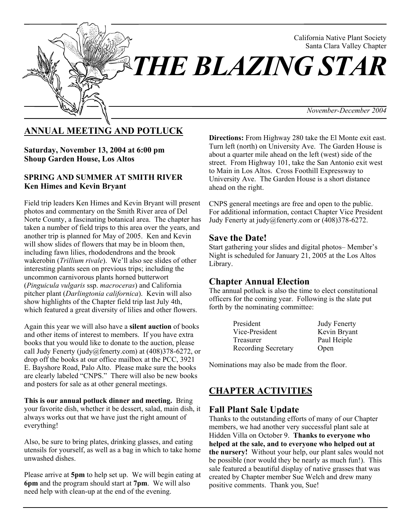

# **ANNUAL MEETING AND POTLUCK**

**Saturday, November 13, 2004 at 6:00 pm Shoup Garden House, Los Altos**

#### **SPRING AND SUMMER AT SMITH RIVER Ken Himes and Kevin Bryant**

Field trip leaders Ken Himes and Kevin Bryant will present photos and commentary on the Smith River area of Del Norte County, a fascinating botanical area. The chapter has taken a number of field trips to this area over the years, and another trip is planned for May of 2005. Ken and Kevin will show slides of flowers that may be in bloom then, including fawn lilies, rhododendrons and the brook wakerobin (*Trillium rivale*). We'll also see slides of other interesting plants seen on previous trips; including the uncommon carnivorous plants horned butterwort (*Pinguicula vulgaris* ssp. *macroceras*) and California pitcher plant (*Darlingtonia californica*). Kevin will also show highlights of the Chapter field trip last July 4th, which featured a great diversity of lilies and other flowers.

Again this year we will also have a **silent auction** of books and other items of interest to members. If you have extra books that you would like to donate to the auction, please call Judy Fenerty (judy@fenerty.com) at (408)378-6272, or drop off the books at our office mailbox at the PCC, 3921 E. Bayshore Road, Palo Alto. Please make sure the books are clearly labeled "CNPS." There will also be new books and posters for sale as at other general meetings.

**This is our annual potluck dinner and meeting.** Bring your favorite dish, whether it be dessert, salad, main dish, it always works out that we have just the right amount of everything!

Also, be sure to bring plates, drinking glasses, and eating utensils for yourself, as well as a bag in which to take home unwashed dishes.

Please arrive at **5pm** to help set up. We will begin eating at **6pm** and the program should start at **7pm**. We will also need help with clean-up at the end of the evening.

**Directions:** From Highway 280 take the El Monte exit east. Turn left (north) on University Ave. The Garden House is about a quarter mile ahead on the left (west) side of the street. From Highway 101, take the San Antonio exit west to Main in Los Altos. Cross Foothill Expressway to University Ave. The Garden House is a short distance ahead on the right.

CNPS general meetings are free and open to the public. For additional information, contact Chapter Vice President Judy Fenerty at judy@fenerty.com or (408)378-6272.

### **Save the Date!**

Start gathering your slides and digital photos– Member's Night is scheduled for January 21, 2005 at the Los Altos Library.

### **Chapter Annual Election**

The annual potluck is also the time to elect constitutional officers for the coming year. Following is the slate put forth by the nominating committee:

| President           | <b>Judy Fenerty</b> |
|---------------------|---------------------|
| Vice-President      | Kevin Bryant        |
| Treasurer           | Paul Heiple         |
| Recording Secretary | Open                |

Nominations may also be made from the floor.

# **CHAPTER ACTIVITIES**

### **Fall Plant Sale Update**

Thanks to the outstanding efforts of many of our Chapter members, we had another very successful plant sale at Hidden Villa on October 9. **Thanks to everyone who helped at the sale, and to everyone who helped out at the nursery!** Without your help, our plant sales would not be possible (nor would they be nearly as much fun!). This sale featured a beautiful display of native grasses that was created by Chapter member Sue Welch and drew many positive comments. Thank you, Sue!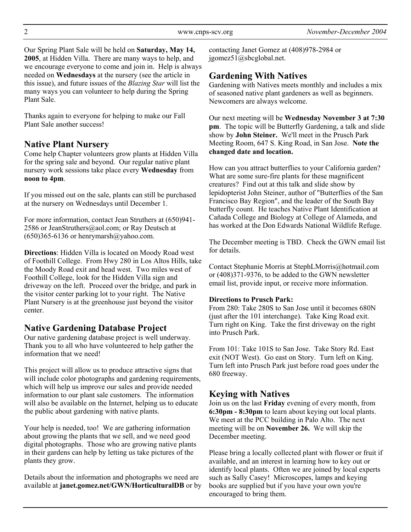Our Spring Plant Sale will be held on **Saturday, May 14, 2005**, at Hidden Villa. There are many ways to help, and we encourage everyone to come and join in. Help is always needed on **Wednesdays** at the nursery (see the article in this issue), and future issues of the *Blazing Star* will list the many ways you can volunteer to help during the Spring Plant Sale.

Thanks again to everyone for helping to make our Fall Plant Sale another success!

## **Native Plant Nursery**

Come help Chapter volunteers grow plants at Hidden Villa for the spring sale and beyond. Our regular native plant nursery work sessions take place every **Wednesday** from **noon to 4pm**.

If you missed out on the sale, plants can still be purchased at the nursery on Wednesdays until December 1.

For more information, contact Jean Struthers at (650)941- 2586 or JeanStruthers@aol.com; or Ray Deutsch at  $(650)365-6136$  or henrymarsh $@$ yahoo.com.

**Directions**: Hidden Villa is located on Moody Road west of Foothill College. From Hwy 280 in Los Altos Hills, take the Moody Road exit and head west. Two miles west of Foothill College, look for the Hidden Villa sign and driveway on the left. Proceed over the bridge, and park in the visitor center parking lot to your right. The Native Plant Nursery is at the greenhouse just beyond the visitor center.

## **Native Gardening Database Project**

Our native gardening database project is well underway. Thank you to all who have volunteered to help gather the information that we need!

This project will allow us to produce attractive signs that will include color photographs and gardening requirements, which will help us improve our sales and provide needed information to our plant sale customers. The information will also be available on the Internet, helping us to educate the public about gardening with native plants.

Your help is needed, too! We are gathering information about growing the plants that we sell, and we need good digital photographs. Those who are growing native plants in their gardens can help by letting us take pictures of the plants they grow.

Details about the information and photographs we need are available at **janet.gomez.net/GWN/HorticulturalDB** or by contacting Janet Gomez at (408)978-2984 or jgomez51@sbcglobal.net.

## **Gardening With Natives**

Gardening with Natives meets monthly and includes a mix of seasoned native plant gardeners as well as beginners. Newcomers are always welcome.

Our next meeting will be **Wednesday November 3 at 7:30 pm**. The topic will be Butterfly Gardening, a talk and slide show by **John Steiner.** We'll meet in the Prusch Park Meeting Room, 647 S. King Road, in San Jose. **Note the changed date and location.**

How can you attract butterflies to your California garden? What are some sure-fire plants for these magnificent creatures? Find out at this talk and slide show by lepidopterist John Steiner, author of "Butterflies of the San Francisco Bay Region", and the leader of the South Bay butterfly count. He teaches Native Plant Identification at Cañada College and Biology at College of Alameda, and has worked at the Don Edwards National Wildlife Refuge.

The December meeting is TBD. Check the GWN email list for details.

Contact Stephanie Morris at StephLMorris@hotmail.com or (408)371-9376, to be added to the GWN newsletter email list, provide input, or receive more information.

### **Directions to Prusch Park:**

From 280: Take 280S to San Jose until it becomes 680N (just after the 101 interchange). Take King Road exit. Turn right on King. Take the first driveway on the right into Prusch Park.

From 101: Take 101S to San Jose. Take Story Rd. East exit (NOT West). Go east on Story. Turn left on King. Turn left into Prusch Park just before road goes under the 680 freeway.

# **Keying with Natives**

Join us on the last **Friday** evening of every month, from **6:30pm - 8:30pm** to learn about keying out local plants. We meet at the PCC building in Palo Alto. The next meeting will be on **November 26.** We will skip the December meeting.

Please bring a locally collected plant with flower or fruit if available, and an interest in learning how to key out or identify local plants. Often we are joined by local experts such as Sally Casey! Microscopes, lamps and keying books are supplied but if you have your own you're encouraged to bring them.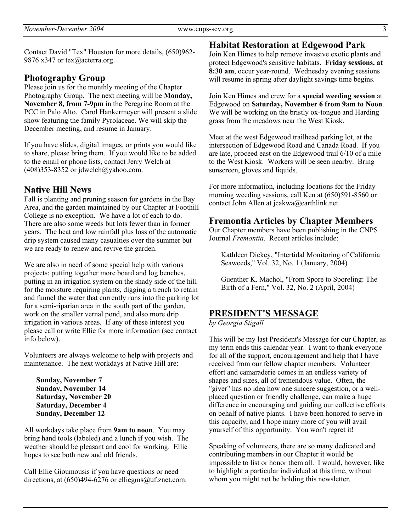Contact David "Tex" Houston for more details, (650)962- 9876 x347 or tex@acterra.org.

#### **Photography Group**

Please join us for the monthly meeting of the Chapter Photography Group. The next meeting will be **Monday, November 8, from 7-9pm** in the Peregrine Room at the PCC in Palo Alto. Carol Hankermeyer will present a slide show featuring the family Pyrolaceae. We will skip the December meeting, and resume in January.

If you have slides, digital images, or prints you would like to share, please bring them. If you would like to be added to the email or phone lists, contact Jerry Welch at  $(408)353-8352$  or jdwelch@yahoo.com.

### **Native Hill News**

Fall is planting and pruning season for gardens in the Bay Area, and the garden maintained by our Chapter at Foothill College is no exception. We have a lot of each to do. There are also some weeds but lots fewer than in former years. The heat and low rainfall plus loss of the automatic drip system caused many casualties over the summer but we are ready to renew and revive the garden.

We are also in need of some special help with various projects: putting together more board and log benches, putting in an irrigation system on the shady side of the hill for the moisture requiring plants, digging a trench to retain and funnel the water that currently runs into the parking lot for a semi-riparian area in the south part of the garden, work on the smaller vernal pond, and also more drip irrigation in various areas. If any of these interest you please call or write Ellie for more information (see contact info below).

Volunteers are always welcome to help with projects and maintenance. The next workdays at Native Hill are:

**Sunday, November 7 Sunday, November 14 Saturday, November 20 Saturday, December 4 Sunday, December 12**

All workdays take place from **9am to noon**. You may bring hand tools (labeled) and a lunch if you wish. The weather should be pleasant and cool for working. Ellie hopes to see both new and old friends.

Call Ellie Gioumousis if you have questions or need directions, at  $(650)494-6276$  or elliegms@uf.znet.com.

#### **Habitat Restoration at Edgewood Park**

Join Ken Himes to help remove invasive exotic plants and protect Edgewood's sensitive habitats. **Friday sessions, at 8:30 am**, occur year-round. Wednesday evening sessions will resume in spring after daylight savings time begins.

Join Ken Himes and crew for a **special weeding session** at Edgewood on **Saturday, November 6 from 9am to Noon**. We will be working on the bristly ox-tongue and Harding grass from the meadows near the West Kiosk.

Meet at the west Edgewood trailhead parking lot, at the intersection of Edgewood Road and Canada Road. If you are late, proceed east on the Edgewood trail 6/10 of a mile to the West Kiosk. Workers will be seen nearby. Bring sunscreen, gloves and liquids.

For more information, including locations for the Friday morning weeding sessions, call Ken at (650)591-8560 or contact John Allen at jcakwa@earthlink.net.

#### **Fremontia Articles by Chapter Members**

Our Chapter members have been publishing in the CNPS Journal *Fremontia*. Recent articles include:

Kathleen Dickey, "Intertidal Monitoring of California Seaweeds," Vol. 32, No. 1 (January, 2004)

Guenther K. Machol, "From Spore to Sporeling: The Birth of a Fern," Vol. 32, No. 2 (April, 2004)

### **PRESIDENT'S MESSAGE**

*by Georgia Stigall*

This will be my last President's Message for our Chapter, as my term ends this calendar year. I want to thank everyone for all of the support, encouragement and help that I have received from our fellow chapter members. Volunteer effort and camaraderie comes in an endless variety of shapes and sizes, all of tremendous value. Often, the "giver" has no idea how one sincere suggestion, or a wellplaced question or friendly challenge, can make a huge difference in encouraging and guiding our collective efforts on behalf of native plants. I have been honored to serve in this capacity, and I hope many more of you will avail yourself of this opportunity. You won't regret it!

Speaking of volunteers, there are so many dedicated and contributing members in our Chapter it would be impossible to list or honor them all. I would, however, like to highlight a particular individual at this time, without whom you might not be holding this newsletter.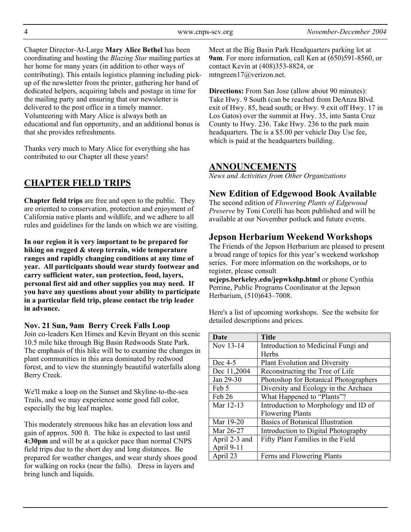Chapter Director-At-Large **Mary Alice Bethel** has been coordinating and hosting the *Blazing Star* mailing parties at her home for many years (in addition to other ways of contributing). This entails logistics planning including pickup of the newsletter from the printer, gathering her band of dedicated helpers, acquiring labels and postage in time for the mailing party and ensuring that our newsletter is delivered to the post office in a timely manner. Volunteering with Mary Alice is always both an educational and fun opportunity, and an additional bonus is that she provides refreshments.

Thanks very much to Mary Alice for everything she has contributed to our Chapter all these years!

## **CHAPTER FIELD TRIPS**

**Chapter field trips** are free and open to the public. They are oriented to conservation, protection and enjoyment of California native plants and wildlife, and we adhere to all rules and guidelines for the lands on which we are visiting.

**In our region it is very important to be prepared for hiking on rugged & steep terrain, wide temperature ranges and rapidly changing conditions at any time of year. All participants should wear sturdy footwear and carry sufficient water, sun protection, food, layers, personal first aid and other supplies you may need. If you have any questions about your ability to participate in a particular field trip, please contact the trip leader in advance.**

#### **Nov. 21 Sun, 9am Berry Creek Falls Loop**

Join co-leaders Ken Himes and Kevin Bryant on this scenic 10.5 mile hike through Big Basin Redwoods State Park. The emphasis of this hike will be to examine the changes in plant communities in this area dominated by redwood forest, and to view the stunningly beautiful waterfalls along Berry Creek.

We'll make a loop on the Sunset and Skyline-to-the-sea Trails, and we may experience some good fall color, especially the big leaf maples.

This moderately strenuous hike has an elevation loss and gain of approx. 500 ft. The hike is expected to last until **4:30pm** and will be at a quicker pace than normal CNPS field trips due to the short day and long distances. Be prepared for weather changes, and wear sturdy shoes good for walking on rocks (near the falls). Dress in layers and bring lunch and liquids.

Meet at the Big Basin Park Headquarters parking lot at **9am**. For more information, call Ken at (650)591-8560, or contact Kevin at (408)353-8824, or mtngreen17@verizon.net.

**Directions:** From San Jose (allow about 90 minutes): Take Hwy. 9 South (can be reached from DeAnza Blvd. exit of Hwy. 85, head south; or Hwy. 9 exit off Hwy. 17 in Los Gatos) over the summit at Hwy. 35, into Santa Cruz County to Hwy. 236. Take Hwy. 236 to the park main headquarters. The is a \$5.00 per vehicle Day Use fee, which is paid at the headquarters building.

### **ANNOUNCEMENTS**

*News and Activities from Other Organizations*

### **New Edition of Edgewood Book Available**

The second edition of *Flowering Plants of Edgewood Preserve* by Toni Corelli has been published and will be available at our November potluck and future events.

## **Jepson Herbarium Weekend Workshops**

The Friends of the Jepson Herbarium are pleased to present a broad range of topics for this year's weekend workshop series. For more information on the workshops, or to register, please consult

**ucjeps.berkeley.edu/jepwkshp.html** or phone Cynthia Perrine, Public Programs Coordinator at the Jepson Herbarium, (510)643–7008.

Here's a list of upcoming workshops. See the website for detailed descriptions and prices.

| <b>Date</b>   | <b>Title</b>                            |
|---------------|-----------------------------------------|
| Nov 13-14     | Introduction to Medicinal Fungi and     |
|               | Herbs                                   |
| Dec 4-5       | Plant Evolution and Diversity           |
| Dec 11,2004   | Reconstructing the Tree of Life         |
| Jan 29-30     | Photoshop for Botanical Photographers   |
| Feb 5         | Diversity and Ecology in the Archaea    |
| Feb 26        | What Happened to "Plants"?              |
| Mar 12-13     | Introduction to Morphology and ID of    |
|               | <b>Flowering Plants</b>                 |
| Mar 19-20     | <b>Basics of Botanical Illustration</b> |
| Mar 26-27     | Introduction to Digital Photography     |
| April 2-3 and | Fifty Plant Families in the Field       |
| April 9-11    |                                         |
| April 23      | Ferns and Flowering Plants              |